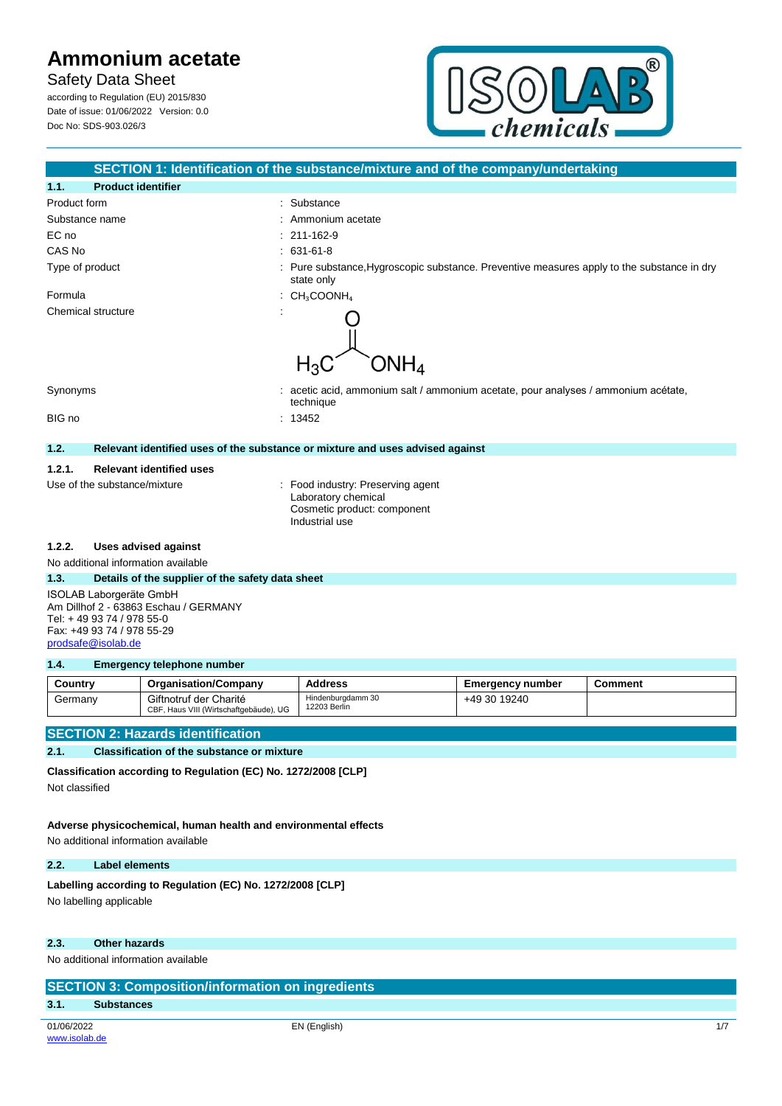according to Regulation (EU) 2015/830 Date of issue: 01/06/2022 Version: 0.0 Doc No: SDS-903.026/3



|                 |                                                                  | SECTION 1: Identification of the substance/mixture and of the company/undertaking                         |
|-----------------|------------------------------------------------------------------|-----------------------------------------------------------------------------------------------------------|
| 1.1.            | <b>Product identifier</b>                                        |                                                                                                           |
| Product form    |                                                                  | Substance                                                                                                 |
| Substance name  |                                                                  | Ammonium acetate                                                                                          |
| EC no           |                                                                  | 211-162-9                                                                                                 |
| CAS No          |                                                                  | 631-61-8<br>$\bullet$ .                                                                                   |
| Type of product |                                                                  | Pure substance, Hygroscopic substance. Preventive measures apply to the substance in dry<br>state only    |
| Formula         |                                                                  | $CH_3COONH_4$                                                                                             |
|                 | Chemical structure                                               | $\mathsf{ONH}_4$<br>$H_3C$                                                                                |
| Synonyms        |                                                                  | acetic acid, ammonium salt / ammonium acetate, pour analyses / ammonium acétate,<br>technique             |
| BIG no          |                                                                  | : 13452                                                                                                   |
| 1.2.            |                                                                  | Relevant identified uses of the substance or mixture and uses advised against                             |
| 1.2.1.          | <b>Relevant identified uses</b>                                  |                                                                                                           |
|                 | Use of the substance/mixture                                     | : Food industry: Preserving agent<br>Laboratory chemical<br>Cosmetic product: component<br>Industrial use |
| 1.2.2.          | <b>Uses advised against</b>                                      |                                                                                                           |
|                 | No additional information available                              |                                                                                                           |
| 1.3.            | Details of the supplier of the safety data sheet                 |                                                                                                           |
|                 | ISOLAB Laborgeräte GmbH<br>Am Dillhof 2 - 63863 Eschau / GERMANY |                                                                                                           |

Tel: + 49 93 74 / 978 55-0 Fax: +49 93 74 / 978 55-29

[prodsafe@isolab.de](mailto:prodsafe@isolab.de)

#### **1.4. Emergency telephone number**

| Country | <b>Organisation/Company</b>                                      | <b>Address</b>                    | Emeraencv number | Comment |
|---------|------------------------------------------------------------------|-----------------------------------|------------------|---------|
| Germanv | Giftnotruf der Charité<br>CBF, Haus VIII (Wirtschaftgebäude), UG | Hindenburadamm 30<br>12203 Berlin | +49 30 19240     |         |

## **SECTION 2: Hazards identification**

#### **2.1. Classification of the substance or mixture**

**Classification according to Regulation (EC) No. 1272/2008 [CLP]**

Not classified

## **Adverse physicochemical, human health and environmental effects**

No additional information available

#### **2.2. Label elements**

#### Labelling according to Regulation (EC) No. 1272/2008 [CLP]

No labelling applicable

### **2.3. Other hazards**

No additional information available

## **SECTION 3: Composition/information on ingredients**

### **3.1. Substances**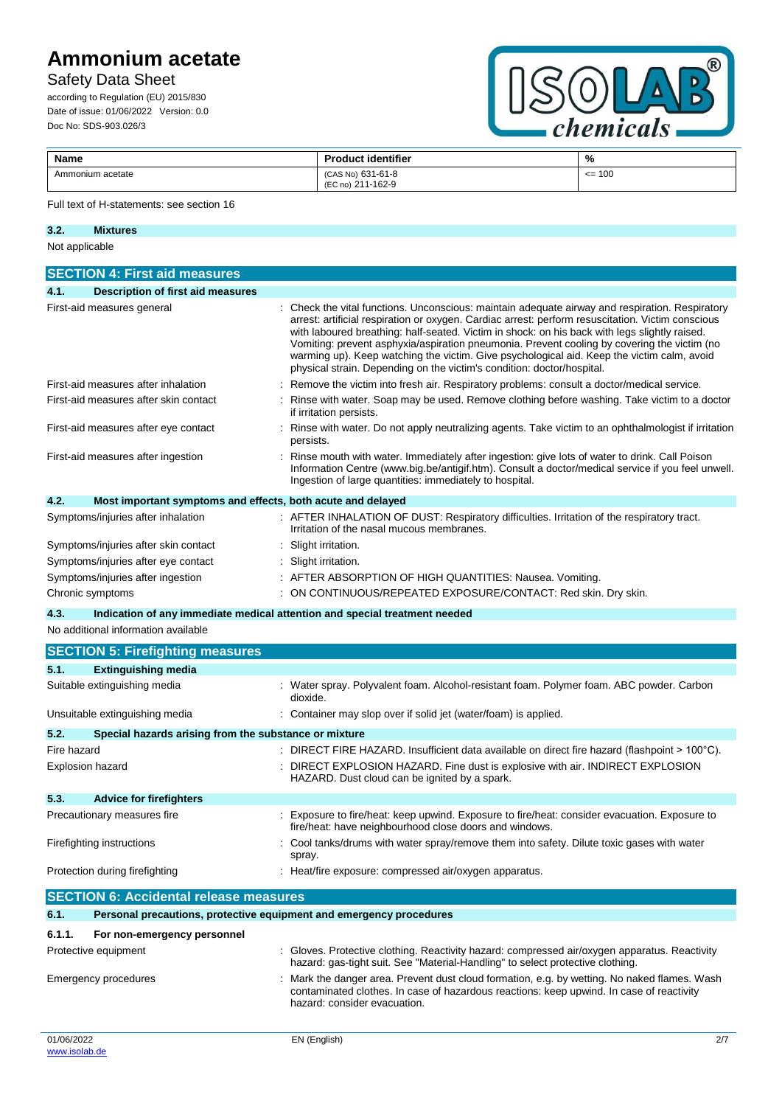## Safety Data Sheet

according to Regulation (EU) 2015/830 Date of issue: 01/06/2022 Version: 0.0 Doc No: SDS-903.026/3



| Name             | <b>Product identifier</b>              | %       |
|------------------|----------------------------------------|---------|
| Ammonium acetate | (CAS No) 631-61-8<br>(EC no) 211-162-9 | $= 100$ |

#### Full text of H-statements: see section 16

| 3.2.           | <b>Mixtures</b> |
|----------------|-----------------|
| Not applicable |                 |

|                                      | <b>SECTION 4: First aid measures</b>                        |                                                                                                                                                                                                                                                                                                                                                                                                                                                                                                                                                                            |
|--------------------------------------|-------------------------------------------------------------|----------------------------------------------------------------------------------------------------------------------------------------------------------------------------------------------------------------------------------------------------------------------------------------------------------------------------------------------------------------------------------------------------------------------------------------------------------------------------------------------------------------------------------------------------------------------------|
| 4.1.                                 | <b>Description of first aid measures</b>                    |                                                                                                                                                                                                                                                                                                                                                                                                                                                                                                                                                                            |
|                                      | First-aid measures general                                  | Check the vital functions. Unconscious: maintain adequate airway and respiration. Respiratory<br>arrest: artificial respiration or oxygen. Cardiac arrest: perform resuscitation. Victim conscious<br>with laboured breathing: half-seated. Victim in shock: on his back with legs slightly raised.<br>Vomiting: prevent asphyxia/aspiration pneumonia. Prevent cooling by covering the victim (no<br>warming up). Keep watching the victim. Give psychological aid. Keep the victim calm, avoid<br>physical strain. Depending on the victim's condition: doctor/hospital. |
|                                      | First-aid measures after inhalation                         | Remove the victim into fresh air. Respiratory problems: consult a doctor/medical service.                                                                                                                                                                                                                                                                                                                                                                                                                                                                                  |
|                                      | First-aid measures after skin contact                       | Rinse with water. Soap may be used. Remove clothing before washing. Take victim to a doctor<br>if irritation persists.                                                                                                                                                                                                                                                                                                                                                                                                                                                     |
|                                      | First-aid measures after eye contact                        | Rinse with water. Do not apply neutralizing agents. Take victim to an ophthalmologist if irritation<br>persists.                                                                                                                                                                                                                                                                                                                                                                                                                                                           |
| First-aid measures after ingestion   |                                                             | Rinse mouth with water. Immediately after ingestion: give lots of water to drink. Call Poison<br>Information Centre (www.big.be/antigif.htm). Consult a doctor/medical service if you feel unwell.<br>Ingestion of large quantities: immediately to hospital.                                                                                                                                                                                                                                                                                                              |
| 4.2.                                 | Most important symptoms and effects, both acute and delayed |                                                                                                                                                                                                                                                                                                                                                                                                                                                                                                                                                                            |
|                                      | Symptoms/injuries after inhalation                          | : AFTER INHALATION OF DUST: Respiratory difficulties. Irritation of the respiratory tract.<br>Irritation of the nasal mucous membranes.                                                                                                                                                                                                                                                                                                                                                                                                                                    |
| Symptoms/injuries after skin contact |                                                             | Slight irritation.                                                                                                                                                                                                                                                                                                                                                                                                                                                                                                                                                         |
| Symptoms/injuries after eye contact  |                                                             | Slight irritation.                                                                                                                                                                                                                                                                                                                                                                                                                                                                                                                                                         |
|                                      | Symptoms/injuries after ingestion                           | AFTER ABSORPTION OF HIGH QUANTITIES: Nausea. Vomiting.                                                                                                                                                                                                                                                                                                                                                                                                                                                                                                                     |
| Chronic symptoms                     |                                                             | ON CONTINUOUS/REPEATED EXPOSURE/CONTACT: Red skin. Dry skin.                                                                                                                                                                                                                                                                                                                                                                                                                                                                                                               |

**4.3. Indication of any immediate medical attention and special treatment needed**

No additional information available

|                                | <b>SECTION 5: Firefighting measures</b>                             |                                                                                                                                                                                 |
|--------------------------------|---------------------------------------------------------------------|---------------------------------------------------------------------------------------------------------------------------------------------------------------------------------|
| 5.1.                           | <b>Extinguishing media</b>                                          |                                                                                                                                                                                 |
|                                | Suitable extinguishing media                                        | : Water spray. Polyvalent foam. Alcohol-resistant foam. Polymer foam. ABC powder. Carbon<br>dioxide.                                                                            |
|                                | Unsuitable extinguishing media                                      | : Container may slop over if solid jet (water/foam) is applied.                                                                                                                 |
| 5.2.                           | Special hazards arising from the substance or mixture               |                                                                                                                                                                                 |
| Fire hazard                    |                                                                     | : DIRECT FIRE HAZARD. Insufficient data available on direct fire hazard (flashpoint $>100^{\circ}$ C).                                                                          |
| Explosion hazard               |                                                                     | : DIRECT EXPLOSION HAZARD. Fine dust is explosive with air. INDIRECT EXPLOSION<br>HAZARD. Dust cloud can be ignited by a spark.                                                 |
| 5.3.                           | <b>Advice for firefighters</b>                                      |                                                                                                                                                                                 |
|                                | Precautionary measures fire                                         | Exposure to fire/heat: keep upwind. Exposure to fire/heat: consider evacuation. Exposure to<br>fire/heat: have neighbourhood close doors and windows.                           |
| Firefighting instructions      |                                                                     | : Cool tanks/drums with water spray/remove them into safety. Dilute toxic gases with water<br>spray.                                                                            |
| Protection during firefighting |                                                                     | : Heat/fire exposure: compressed air/oxygen apparatus.                                                                                                                          |
|                                | <b>SECTION 6: Accidental release measures</b>                       |                                                                                                                                                                                 |
| 6.1.                           | Personal precautions, protective equipment and emergency procedures |                                                                                                                                                                                 |
| 6.1.1.                         | For non-emergency personnel                                         |                                                                                                                                                                                 |
| Protective equipment           |                                                                     | : Gloves. Protective clothing. Reactivity hazard: compressed air/oxygen apparatus. Reactivity<br>hazard: gas-tight suit. See "Material-Handling" to select protective clothing. |

contaminated clothes. In case of hazardous reactions: keep upwind. In case of reactivity

Emergency procedures : Mark the danger area. Prevent dust cloud formation, e.g. by wetting. No naked flames. Wash

hazard: consider evacuation.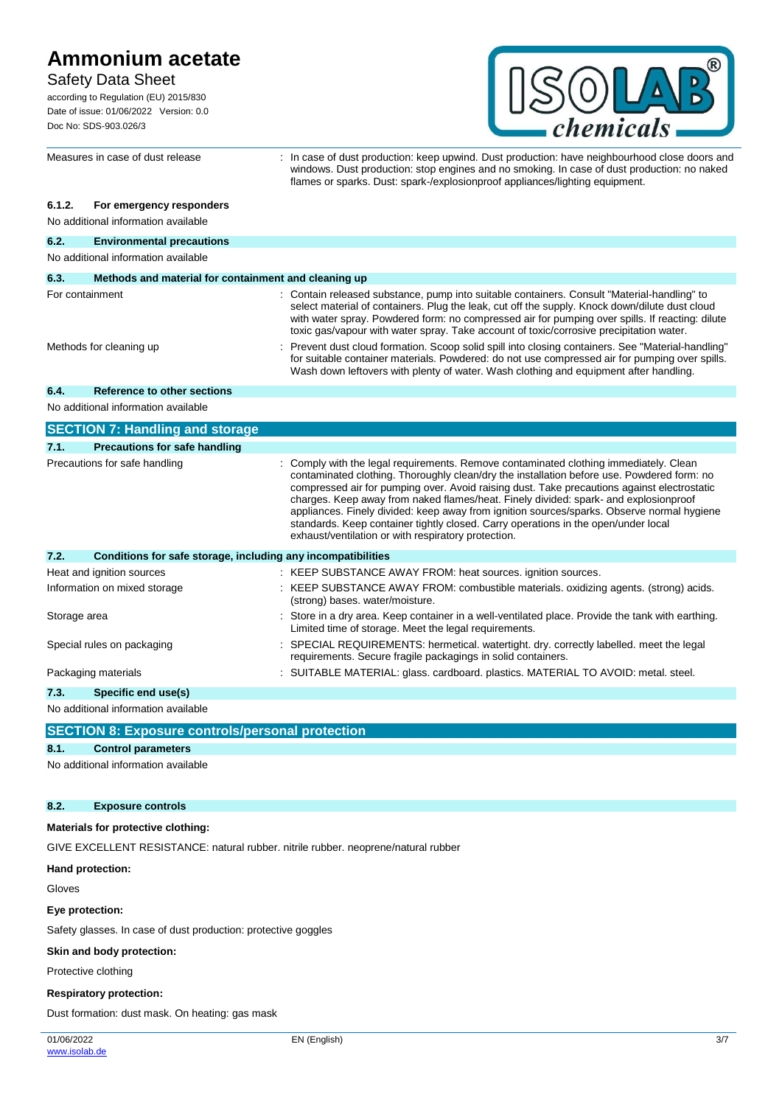## Safety Data Sheet

according to Regulation (EU) 2015/830 Date of issue: 01/06/2022 Version: 0.0 Doc No: SDS-903.026/3



windows. Dust production: stop engines and no smoking. In case of dust production: no naked

flames or sparks. Dust: spark-/explosionproof appliances/lighting equipment.

## **6.1.2. For emergency responders**

No additional information available

| 6.2.                                | <b>Environmental precautions</b>                             |                                                                                                                                                                                                                                                                                                                                                                                                                                                                                                                                                                                                                     |  |  |
|-------------------------------------|--------------------------------------------------------------|---------------------------------------------------------------------------------------------------------------------------------------------------------------------------------------------------------------------------------------------------------------------------------------------------------------------------------------------------------------------------------------------------------------------------------------------------------------------------------------------------------------------------------------------------------------------------------------------------------------------|--|--|
| No additional information available |                                                              |                                                                                                                                                                                                                                                                                                                                                                                                                                                                                                                                                                                                                     |  |  |
| 6.3.                                | Methods and material for containment and cleaning up         |                                                                                                                                                                                                                                                                                                                                                                                                                                                                                                                                                                                                                     |  |  |
| For containment                     |                                                              | : Contain released substance, pump into suitable containers. Consult "Material-handling" to<br>select material of containers. Plug the leak, cut off the supply. Knock down/dilute dust cloud<br>with water spray. Powdered form: no compressed air for pumping over spills. If reacting: dilute<br>toxic gas/vapour with water spray. Take account of toxic/corrosive precipitation water.                                                                                                                                                                                                                         |  |  |
|                                     | Methods for cleaning up                                      | Prevent dust cloud formation. Scoop solid spill into closing containers. See "Material-handling"<br>for suitable container materials. Powdered: do not use compressed air for pumping over spills.<br>Wash down leftovers with plenty of water. Wash clothing and equipment after handling.                                                                                                                                                                                                                                                                                                                         |  |  |
| 6.4.                                | Reference to other sections                                  |                                                                                                                                                                                                                                                                                                                                                                                                                                                                                                                                                                                                                     |  |  |
|                                     | No additional information available                          |                                                                                                                                                                                                                                                                                                                                                                                                                                                                                                                                                                                                                     |  |  |
|                                     | <b>SECTION 7: Handling and storage</b>                       |                                                                                                                                                                                                                                                                                                                                                                                                                                                                                                                                                                                                                     |  |  |
| 7.1.                                | <b>Precautions for safe handling</b>                         |                                                                                                                                                                                                                                                                                                                                                                                                                                                                                                                                                                                                                     |  |  |
|                                     | Precautions for safe handling                                | Comply with the legal requirements. Remove contaminated clothing immediately. Clean<br>contaminated clothing. Thoroughly clean/dry the installation before use. Powdered form: no<br>compressed air for pumping over. Avoid raising dust. Take precautions against electrostatic<br>charges. Keep away from naked flames/heat. Finely divided: spark- and explosionproof<br>appliances. Finely divided: keep away from ignition sources/sparks. Observe normal hygiene<br>standards. Keep container tightly closed. Carry operations in the open/under local<br>exhaust/ventilation or with respiratory protection. |  |  |
| 7.2.                                | Conditions for safe storage, including any incompatibilities |                                                                                                                                                                                                                                                                                                                                                                                                                                                                                                                                                                                                                     |  |  |
|                                     | Heat and ignition sources                                    | : KEEP SUBSTANCE AWAY FROM: heat sources. ignition sources.                                                                                                                                                                                                                                                                                                                                                                                                                                                                                                                                                         |  |  |
|                                     | Information on mixed storage                                 | : KEEP SUBSTANCE AWAY FROM: combustible materials. oxidizing agents. (strong) acids.<br>(strong) bases. water/moisture.                                                                                                                                                                                                                                                                                                                                                                                                                                                                                             |  |  |
| Storage area                        |                                                              | Store in a dry area. Keep container in a well-ventilated place. Provide the tank with earthing.<br>Limited time of storage. Meet the legal requirements.                                                                                                                                                                                                                                                                                                                                                                                                                                                            |  |  |
|                                     | Special rules on packaging                                   | SPECIAL REQUIREMENTS: hermetical. watertight. dry. correctly labelled. meet the legal<br>requirements. Secure fragile packagings in solid containers.                                                                                                                                                                                                                                                                                                                                                                                                                                                               |  |  |
|                                     | Packaging materials                                          | : SUITABLE MATERIAL: glass. cardboard. plastics. MATERIAL TO AVOID: metal. steel.                                                                                                                                                                                                                                                                                                                                                                                                                                                                                                                                   |  |  |
| 7.3.                                | Specific end use(s)                                          |                                                                                                                                                                                                                                                                                                                                                                                                                                                                                                                                                                                                                     |  |  |
|                                     | No additional information available                          |                                                                                                                                                                                                                                                                                                                                                                                                                                                                                                                                                                                                                     |  |  |

Measures in case of dust release : In case of dust production: keep upwind. Dust production: have neighbourhood close doors and

**SECTION 8: Exposure controls/personal protection**

### **8.1. Control parameters**

No additional information available

### **8.2. Exposure controls**

## **Materials for protective clothing:**

GIVE EXCELLENT RESISTANCE: natural rubber. nitrile rubber. neoprene/natural rubber

#### **Hand protection:**

Gloves

#### **Eye protection:**

Safety glasses. In case of dust production: protective goggles

#### **Skin and body protection:**

Protective clothing

#### **Respiratory protection:**

Dust formation: dust mask. On heating: gas mask

01/06/2022 [www.isolab.de](http://www.isolab.de/)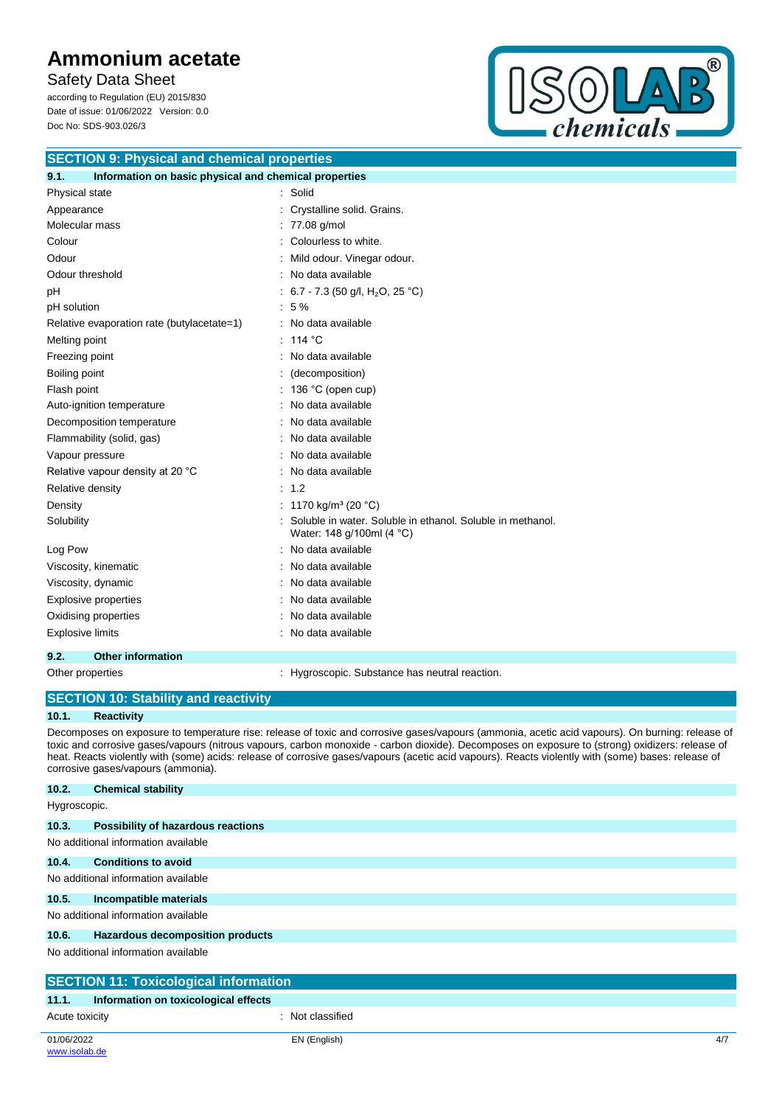Safety Data Sheet

according to Regulation (EU) 2015/830 Date of issue: 01/06/2022 Version: 0.0 Doc No: SDS-903.026/3



| <b>SECTION 9: Physical and chemical properties</b>            |                                                                                         |  |
|---------------------------------------------------------------|-----------------------------------------------------------------------------------------|--|
| 9.1.<br>Information on basic physical and chemical properties |                                                                                         |  |
| Physical state                                                | : Solid                                                                                 |  |
| Appearance                                                    | Crystalline solid. Grains.                                                              |  |
| Molecular mass                                                | 77.08 g/mol                                                                             |  |
| Colour                                                        | Colourless to white.                                                                    |  |
| Odour                                                         | Mild odour. Vinegar odour.                                                              |  |
| Odour threshold                                               | No data available                                                                       |  |
| рH                                                            | 6.7 - 7.3 (50 g/l, H <sub>2</sub> O, 25 °C)                                             |  |
| pH solution                                                   | 5 %                                                                                     |  |
| Relative evaporation rate (butylacetate=1)                    | No data available                                                                       |  |
| Melting point                                                 | 114 °C                                                                                  |  |
| Freezing point                                                | No data available                                                                       |  |
| Boiling point                                                 | (decomposition)                                                                         |  |
| Flash point                                                   | 136 °C (open cup)                                                                       |  |
| Auto-ignition temperature                                     | No data available                                                                       |  |
| Decomposition temperature                                     | No data available                                                                       |  |
| Flammability (solid, gas)                                     | No data available                                                                       |  |
| Vapour pressure                                               | No data available                                                                       |  |
| Relative vapour density at 20 °C                              | No data available                                                                       |  |
| Relative density                                              | 1.2                                                                                     |  |
| Density                                                       | 1170 kg/m <sup>3</sup> (20 °C)                                                          |  |
| Solubility                                                    | Soluble in water. Soluble in ethanol. Soluble in methanol.<br>Water: 148 g/100ml (4 °C) |  |
| Log Pow                                                       | No data available                                                                       |  |
| Viscosity, kinematic                                          | No data available                                                                       |  |
| Viscosity, dynamic                                            | No data available                                                                       |  |
| <b>Explosive properties</b>                                   | No data available                                                                       |  |
| Oxidising properties                                          | No data available                                                                       |  |
| <b>Explosive limits</b>                                       | No data available                                                                       |  |
| <b>Other information</b><br>9.2.                              |                                                                                         |  |

Other properties **State 1 and Tanach 2 and Tanach 2 and Tanach 2 and Tanach 2 and Tanach 2 and Tanach 2 and Tanach 2 and Tanach 2 and Tanach 2 and Tanach 2 and Tanach 2 and Tanach 2 and Tanach 2 and Tanach 2 and Tanach 2 a** 

|                                                                                                                                                                                                                                                                                                                                                                                                                                                                                                | <b>SECTION 10: Stability and reactivity</b> |  |
|------------------------------------------------------------------------------------------------------------------------------------------------------------------------------------------------------------------------------------------------------------------------------------------------------------------------------------------------------------------------------------------------------------------------------------------------------------------------------------------------|---------------------------------------------|--|
| 10.1.                                                                                                                                                                                                                                                                                                                                                                                                                                                                                          | <b>Reactivity</b>                           |  |
| Decomposes on exposure to temperature rise: release of toxic and corrosive gases/vapours (ammonia, acetic acid vapours). On burning: release of<br>toxic and corrosive gases/vapours (nitrous vapours, carbon monoxide - carbon dioxide). Decomposes on exposure to (strong) oxidizers: release of<br>heat. Reacts violently with (some) acids: release of corrosive gases/vapours (acetic acid vapours). Reacts violently with (some) bases: release of<br>corrosive gases/vapours (ammonia). |                                             |  |
| 10.2.                                                                                                                                                                                                                                                                                                                                                                                                                                                                                          | <b>Chemical stability</b>                   |  |
| Hygroscopic.                                                                                                                                                                                                                                                                                                                                                                                                                                                                                   |                                             |  |
| 10.3.                                                                                                                                                                                                                                                                                                                                                                                                                                                                                          | Possibility of hazardous reactions          |  |
|                                                                                                                                                                                                                                                                                                                                                                                                                                                                                                | No additional information available         |  |
| 10.4.                                                                                                                                                                                                                                                                                                                                                                                                                                                                                          | <b>Conditions to avoid</b>                  |  |
|                                                                                                                                                                                                                                                                                                                                                                                                                                                                                                | No additional information available         |  |
| 10.5.                                                                                                                                                                                                                                                                                                                                                                                                                                                                                          | Incompatible materials                      |  |
|                                                                                                                                                                                                                                                                                                                                                                                                                                                                                                | No additional information available         |  |

## **10.6. Hazardous decomposition products**

No additional information available

| <b>SECTION 11: Toxicological information</b> |                                      |     |
|----------------------------------------------|--------------------------------------|-----|
| 11.1.                                        | Information on toxicological effects |     |
| Acute toxicity                               | Not classified                       |     |
| 01/06/2022                                   | EN (English)                         | 4/7 |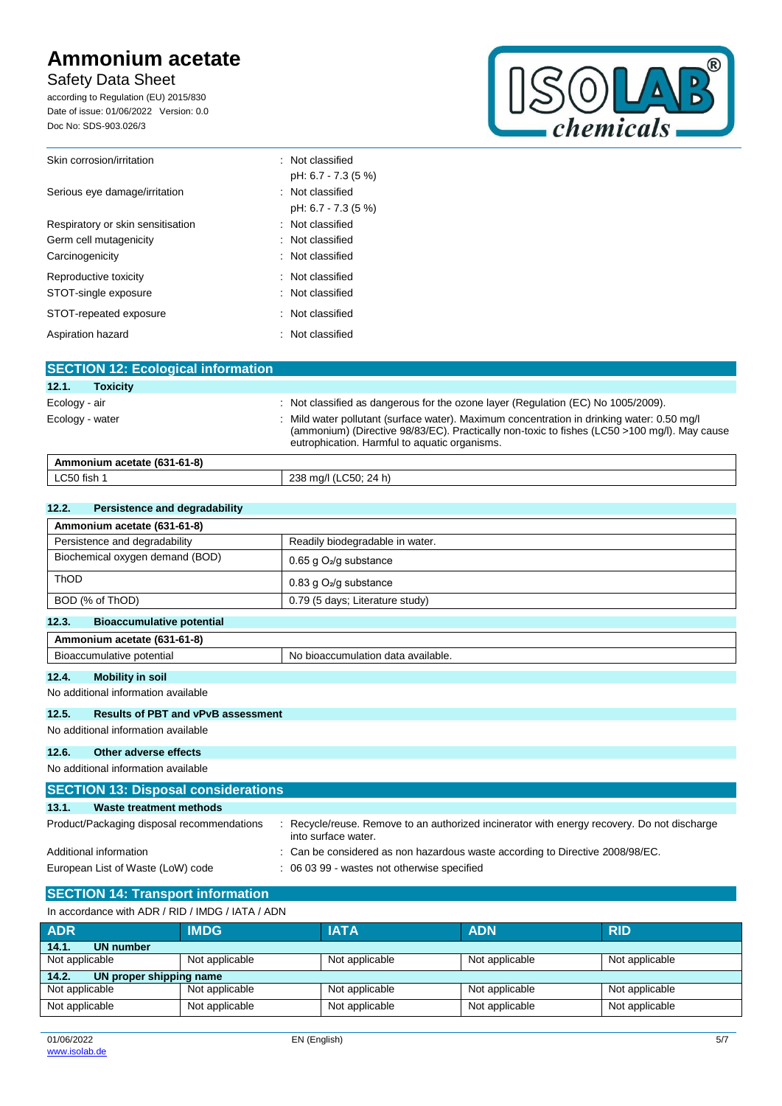## Safety Data Sheet

according to Regulation (EU) 2015/830 Date of issue: 01/06/2022 Version: 0.0 Doc No: SDS-903.026/3



| Skin corrosion/irritation         | : Not classified    |
|-----------------------------------|---------------------|
|                                   | pH: 6.7 - 7.3 (5 %) |
| Serious eye damage/irritation     | : Not classified    |
|                                   | pH: 6.7 - 7.3 (5 %) |
| Respiratory or skin sensitisation | : Not classified    |
| Germ cell mutagenicity            | : Not classified    |
| Carcinogenicity                   | : Not classified    |
| Reproductive toxicity             | : Not classified    |
| STOT-single exposure              | : Not classified    |
| STOT-repeated exposure            | : Not classified    |
| Aspiration hazard                 | : Not classified    |

| <b>SECTION 12: Ecological information</b> |                                                                                                                                                                                                                                             |
|-------------------------------------------|---------------------------------------------------------------------------------------------------------------------------------------------------------------------------------------------------------------------------------------------|
| 12.1.<br><b>Toxicity</b>                  |                                                                                                                                                                                                                                             |
| Ecology - air                             | : Not classified as dangerous for the ozone layer (Regulation (EC) No 1005/2009).                                                                                                                                                           |
| Ecology - water                           | : Mild water pollutant (surface water). Maximum concentration in drinking water: 0.50 mg/l<br>(ammonium) (Directive 98/83/EC). Practically non-toxic to fishes (LC50 >100 mg/l). May cause<br>eutrophication. Harmful to aquatic organisms. |
| Ammonium acetate (631-61-8)               |                                                                                                                                                                                                                                             |
| LC50 fish 1                               | 238 mg/l (LC50; 24 h)                                                                                                                                                                                                                       |

| Persistence and degradability<br>12.2.    |                                    |
|-------------------------------------------|------------------------------------|
| Ammonium acetate (631-61-8)               |                                    |
| Persistence and degradability             | Readily biodegradable in water.    |
| Biochemical oxygen demand (BOD)           | 0.65 g $O_2$ /g substance          |
| <b>ThOD</b>                               | 0.83 g $O_2$ /g substance          |
| BOD (% of ThOD)                           | 0.79 (5 days; Literature study)    |
| <b>Bioaccumulative potential</b><br>12.3. |                                    |
| Ammonium acetate (631-61-8)               |                                    |
| Bioaccumulative potential                 | No bioaccumulation data available. |

## **12.4. Mobility in soil**

No additional information available

### **12.5. Results of PBT and vPvB assessment**

No additional information available

#### **12.6. Other adverse effects**

No additional information available

| <b>SECTION 13: Disposal considerations</b> |                                                                                                                  |  |
|--------------------------------------------|------------------------------------------------------------------------------------------------------------------|--|
| 13.1.<br>Waste treatment methods           |                                                                                                                  |  |
| Product/Packaging disposal recommendations | Recycle/reuse. Remove to an authorized incinerator with energy recovery. Do not discharge<br>into surface water. |  |
| Additional information                     | : Can be considered as non hazardous waste according to Directive 2008/98/EC.                                    |  |
| European List of Waste (LoW) code          | : 06 03 99 - wastes not otherwise specified                                                                      |  |

## **SECTION 14: Transport information**

| In accordance with ADR / RID / IMDG / IATA / ADN |                |                |                |                |
|--------------------------------------------------|----------------|----------------|----------------|----------------|
| <b>ADR</b>                                       | <b>IMDG</b>    | <b>IATA</b>    | <b>ADN</b>     | <b>RID</b>     |
| 14.1.<br>UN number                               |                |                |                |                |
| Not applicable                                   | Not applicable | Not applicable | Not applicable | Not applicable |
| UN proper shipping name<br>14.2.                 |                |                |                |                |
| Not applicable                                   | Not applicable | Not applicable | Not applicable | Not applicable |
| Not applicable                                   | Not applicable | Not applicable | Not applicable | Not applicable |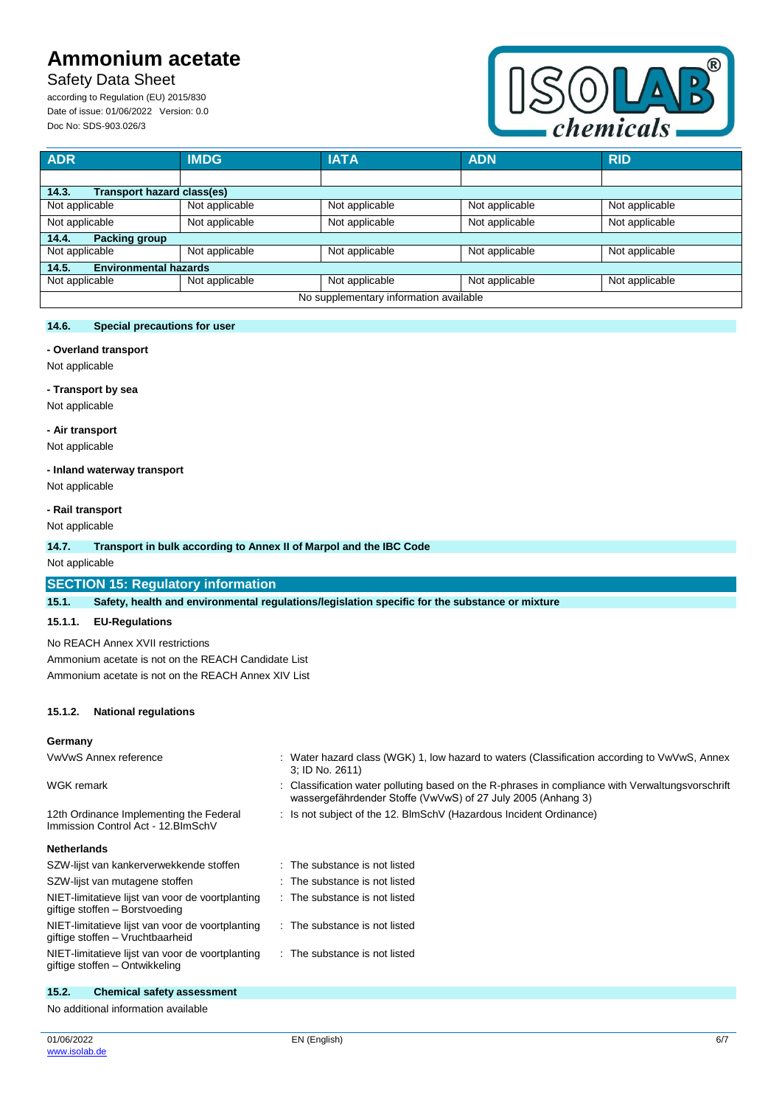## Safety Data Sheet

according to Regulation (EU) 2015/830 Date of issue: 01/06/2022 Version: 0.0 Doc No: SDS-903.026/3



| <b>ADR</b>                             | <b>IMDG</b>    | <b>IATA</b>    | <b>ADN</b>     | <b>RID</b>     |
|----------------------------------------|----------------|----------------|----------------|----------------|
|                                        |                |                |                |                |
| 14.3.<br>Transport hazard class(es)    |                |                |                |                |
| Not applicable                         | Not applicable | Not applicable | Not applicable | Not applicable |
| Not applicable                         | Not applicable | Not applicable | Not applicable | Not applicable |
| Packing group<br>14.4.                 |                |                |                |                |
| Not applicable                         | Not applicable | Not applicable | Not applicable | Not applicable |
| <b>Environmental hazards</b><br>14.5.  |                |                |                |                |
| Not applicable                         | Not applicable | Not applicable | Not applicable | Not applicable |
| No supplementary information available |                |                |                |                |

#### **14.6. Special precautions for user**

#### **- Overland transport**

Not applicable

## **- Transport by sea**

Not applicable

#### **- Air transport**

Not applicable

## **- Inland waterway transport**

Not applicable

### **- Rail transport**

Not applicable

#### **14.7. Transport in bulk according to Annex II of Marpol and the IBC Code**

Not applicable

## **SECTION 15: Regulatory information**

**15.1. Safety, health and environmental regulations/legislation specific for the substance or mixture**

#### **15.1.1. EU-Regulations**

No REACH Annex XVII restrictions

Ammonium acetate is not on the REACH Candidate List Ammonium acetate is not on the REACH Annex XIV List

#### **15.1.2. National regulations**

#### **Germany**

| VwVwS Annex reference                                                          | Water hazard class (WGK) 1, low hazard to waters (Classification according to VwVwS, Annex<br>3; ID No. 2611)                                                  |
|--------------------------------------------------------------------------------|----------------------------------------------------------------------------------------------------------------------------------------------------------------|
| WGK remark                                                                     | Classification water polluting based on the R-phrases in compliance with Verwaltungsvorschrift<br>wassergefährdender Stoffe (VwVwS) of 27 July 2005 (Anhang 3) |
| 12th Ordinance Implementing the Federal<br>Immission Control Act - 12. BlmSchV | Is not subject of the 12. BlmSchV (Hazardous Incident Ordinance)                                                                                               |
| <b>Netherlands</b>                                                             |                                                                                                                                                                |
| SZW-lijst van kankerverwekkende stoffen                                        | $\therefore$ The substance is not listed                                                                                                                       |
| SZW-lijst van mutagene stoffen                                                 | The substance is not listed                                                                                                                                    |

is not listed

is not listed

is not listed

| SZW-lijst van mutagene stoffen                                                       | : The substance            |
|--------------------------------------------------------------------------------------|----------------------------|
| NIET-limitatieve lijst van voor de voortplanting<br>giftige stoffen - Borstvoeding   | $\therefore$ The substance |
| NIET-limitatieve lijst van voor de voortplanting<br>giftige stoffen - Vruchtbaarheid | $\therefore$ The substance |
| NIET-limitatieve lijst van voor de voortplanting<br>giftige stoffen - Ontwikkeling   | : The substance            |

## **15.2. Chemical safety assessment**

No additional information available